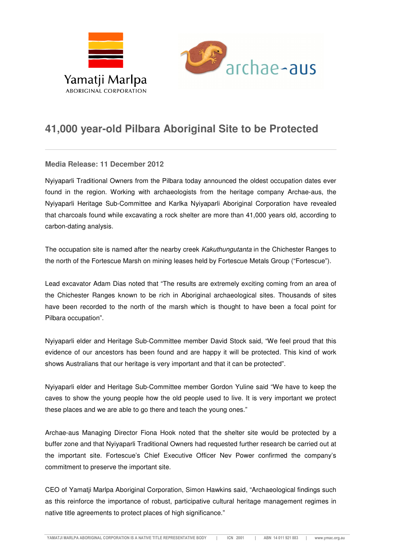



## **41,000 year-old Pilbara Aboriginal Site to be Protected**

## **Media Release: 11 December 2012**

Nyiyaparli Traditional Owners from the Pilbara today announced the oldest occupation dates ever found in the region. Working with archaeologists from the heritage company Archae-aus, the Nyiyaparli Heritage Sub-Committee and Karlka Nyiyaparli Aboriginal Corporation have revealed that charcoals found while excavating a rock shelter are more than 41,000 years old, according to carbon-dating analysis.

The occupation site is named after the nearby creek Kakuthungutanta in the Chichester Ranges to the north of the Fortescue Marsh on mining leases held by Fortescue Metals Group ("Fortescue").

Lead excavator Adam Dias noted that "The results are extremely exciting coming from an area of the Chichester Ranges known to be rich in Aboriginal archaeological sites. Thousands of sites have been recorded to the north of the marsh which is thought to have been a focal point for Pilbara occupation".

Nyiyaparli elder and Heritage Sub-Committee member David Stock said, "We feel proud that this evidence of our ancestors has been found and are happy it will be protected. This kind of work shows Australians that our heritage is very important and that it can be protected".

Nyiyaparli elder and Heritage Sub-Committee member Gordon Yuline said "We have to keep the caves to show the young people how the old people used to live. It is very important we protect these places and we are able to go there and teach the young ones."

Archae-aus Managing Director Fiona Hook noted that the shelter site would be protected by a buffer zone and that Nyiyaparli Traditional Owners had requested further research be carried out at the important site. Fortescue's Chief Executive Officer Nev Power confirmed the company's commitment to preserve the important site.

CEO of Yamatji Marlpa Aboriginal Corporation, Simon Hawkins said, "Archaeological findings such as this reinforce the importance of robust, participative cultural heritage management regimes in native title agreements to protect places of high significance."